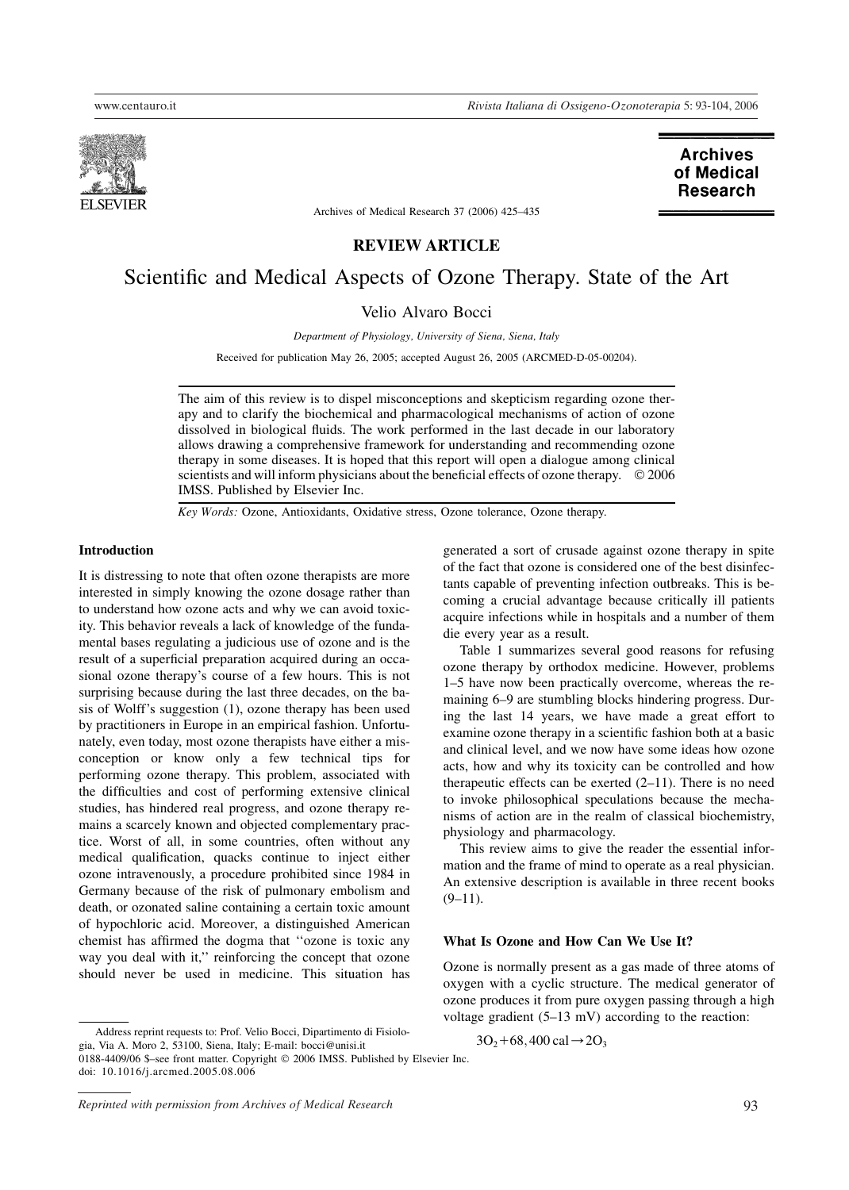

**Archives** of Medical Research

Archives of Medical Research 37 (2006) 425–435

REVIEW ARTICLE

# Scientific and Medical Aspects of Ozone Therapy. State of the Art

Velio Alvaro Bocci

Department of Physiology, University of Siena, Siena, Italy

Received for publication May 26, 2005; accepted August 26, 2005 (ARCMED-D-05-00204).

The aim of this review is to dispel misconceptions and skepticism regarding ozone therapy and to clarify the biochemical and pharmacological mechanisms of action of ozone dissolved in biological fluids. The work performed in the last decade in our laboratory allows drawing a comprehensive framework for understanding and recommending ozone therapy in some diseases. It is hoped that this report will open a dialogue among clinical scientists and will inform physicians about the beneficial effects of ozone therapy.  $\degree$  2006 IMSS. Published by Elsevier Inc.

Key Words: Ozone, Antioxidants, Oxidative stress, Ozone tolerance, Ozone therapy.

# Introduction

It is distressing to note that often ozone therapists are more interested in simply knowing the ozone dosage rather than to understand how ozone acts and why we can avoid toxicity. This behavior reveals a lack of knowledge of the fundamental bases regulating a judicious use of ozone and is the result of a superficial preparation acquired during an occasional ozone therapy's course of a few hours. This is not surprising because during the last three decades, on the basis of Wolff's suggestion (1), ozone therapy has been used by practitioners in Europe in an empirical fashion. Unfortunately, even today, most ozone therapists have either a misconception or know only a few technical tips for performing ozone therapy. This problem, associated with the difficulties and cost of performing extensive clinical studies, has hindered real progress, and ozone therapy remains a scarcely known and objected complementary practice. Worst of all, in some countries, often without any medical qualification, quacks continue to inject either ozone intravenously, a procedure prohibited since 1984 in Germany because of the risk of pulmonary embolism and death, or ozonated saline containing a certain toxic amount of hypochloric acid. Moreover, a distinguished American chemist has affirmed the dogma that ''ozone is toxic any way you deal with it,'' reinforcing the concept that ozone should never be used in medicine. This situation has generated a sort of crusade against ozone therapy in spite of the fact that ozone is considered one of the best disinfectants capable of preventing infection outbreaks. This is becoming a crucial advantage because critically ill patients acquire infections while in hospitals and a number of them die every year as a result.

Table 1 summarizes several good reasons for refusing ozone therapy by orthodox medicine. However, problems 1–5 have now been practically overcome, whereas the remaining 6–9 are stumbling blocks hindering progress. During the last 14 years, we have made a great effort to examine ozone therapy in a scientific fashion both at a basic and clinical level, and we now have some ideas how ozone acts, how and why its toxicity can be controlled and how therapeutic effects can be exerted  $(2-11)$ . There is no need to invoke philosophical speculations because the mechanisms of action are in the realm of classical biochemistry, physiology and pharmacology.

This review aims to give the reader the essential information and the frame of mind to operate as a real physician. An extensive description is available in three recent books  $(9-11)$ .

# What Is Ozone and How Can We Use It?

Ozone is normally present as a gas made of three atoms of oxygen with a cyclic structure. The medical generator of ozone produces it from pure oxygen passing through a high voltage gradient (5–13 mV) according to the reaction:

 $3O_2 + 68$ , 400 cal  $\rightarrow$  2O<sub>3</sub>

Address reprint requests to: Prof. Velio Bocci, Dipartimento di Fisiologia, Via A. Moro 2, 53100, Siena, Italy; E-mail: bocci@unisi.it

<sup>0188-4409/06 \$-</sup>see front matter. Copyright © 2006 IMSS. Published by Elsevier Inc. doi: 10.1016/j.arcmed.2005.08.006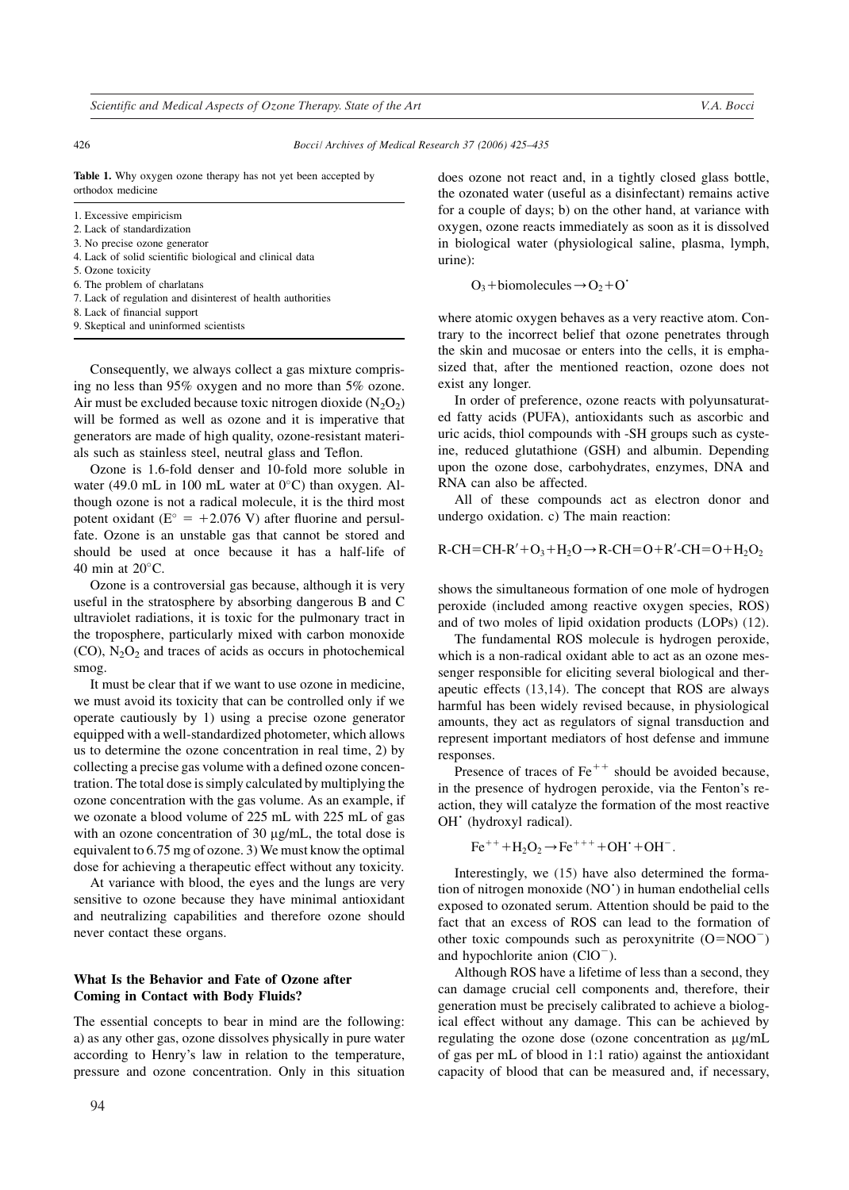*Scientific and Medical Aspects of Ozone Therapy. State of the Art V.A. Bocci*

426 Bocci/ Archives of Medical Research 37 (2006) 425–435

Table 1. Why oxygen ozone therapy has not yet been accepted by orthodox medicine

| 1. Excessive empiricism                                     |
|-------------------------------------------------------------|
| 2. Lack of standardization                                  |
| 3. No precise ozone generator                               |
| 4. Lack of solid scientific biological and clinical data    |
| 5. Ozone toxicity                                           |
| 6. The problem of charlatans                                |
| 7. Lack of regulation and disinterest of health authorities |
| 8. Lack of financial support                                |
| 9. Skeptical and uninformed scientists                      |

Consequently, we always collect a gas mixture comprising no less than 95% oxygen and no more than 5% ozone. Air must be excluded because toxic nitrogen dioxide  $(N_2O_2)$ will be formed as well as ozone and it is imperative that generators are made of high quality, ozone-resistant materials such as stainless steel, neutral glass and Teflon.

Ozone is 1.6-fold denser and 10-fold more soluble in water (49.0 mL in 100 mL water at  $0^{\circ}$ C) than oxygen. Although ozone is not a radical molecule, it is the third most potent oxidant ( $E^{\circ} = +2.076$  V) after fluorine and persulfate. Ozone is an unstable gas that cannot be stored and should be used at once because it has a half-life of 40 min at  $20^{\circ}$ C.

Ozone is a controversial gas because, although it is very useful in the stratosphere by absorbing dangerous B and C ultraviolet radiations, it is toxic for the pulmonary tract in the troposphere, particularly mixed with carbon monoxide  $(CO)$ ,  $N<sub>2</sub>O<sub>2</sub>$  and traces of acids as occurs in photochemical smog.

It must be clear that if we want to use ozone in medicine, we must avoid its toxicity that can be controlled only if we operate cautiously by 1) using a precise ozone generator equipped with a well-standardized photometer, which allows us to determine the ozone concentration in real time, 2) by collecting a precise gas volume with a defined ozone concentration. The total dose is simply calculated by multiplying the ozone concentration with the gas volume. As an example, if we ozonate a blood volume of 225 mL with 225 mL of gas with an ozone concentration of 30  $\mu$ g/mL, the total dose is equivalent to 6.75 mg of ozone. 3) We must know the optimal dose for achieving a therapeutic effect without any toxicity.

At variance with blood, the eyes and the lungs are very sensitive to ozone because they have minimal antioxidant and neutralizing capabilities and therefore ozone should never contact these organs.

# What Is the Behavior and Fate of Ozone after Coming in Contact with Body Fluids?

The essential concepts to bear in mind are the following: a) as any other gas, ozone dissolves physically in pure water according to Henry's law in relation to the temperature, pressure and ozone concentration. Only in this situation

94

does ozone not react and, in a tightly closed glass bottle, the ozonated water (useful as a disinfectant) remains active for a couple of days; b) on the other hand, at variance with oxygen, ozone reacts immediately as soon as it is dissolved in biological water (physiological saline, plasma, lymph, urine):

 $O_3$ +biomolecules  $\rightarrow$   $O_2$ + $O$ 

where atomic oxygen behaves as a very reactive atom. Contrary to the incorrect belief that ozone penetrates through the skin and mucosae or enters into the cells, it is emphasized that, after the mentioned reaction, ozone does not exist any longer.

In order of preference, ozone reacts with polyunsaturated fatty acids (PUFA), antioxidants such as ascorbic and uric acids, thiol compounds with -SH groups such as cysteine, reduced glutathione (GSH) and albumin. Depending upon the ozone dose, carbohydrates, enzymes, DNA and RNA can also be affected.

All of these compounds act as electron donor and undergo oxidation. c) The main reaction:

$$
R\text{-}CH=\text{CH-}R'+O_3+H_2O \rightarrow R\text{-}CH=O+R'-CH=O+H_2O_2
$$

shows the simultaneous formation of one mole of hydrogen peroxide (included among reactive oxygen species, ROS) and of two moles of lipid oxidation products (LOPs) (12).

The fundamental ROS molecule is hydrogen peroxide, which is a non-radical oxidant able to act as an ozone messenger responsible for eliciting several biological and therapeutic effects (13,14). The concept that ROS are always harmful has been widely revised because, in physiological amounts, they act as regulators of signal transduction and represent important mediators of host defense and immune responses.

Presence of traces of  $Fe^{++}$  should be avoided because, in the presence of hydrogen peroxide, via the Fenton's reaction, they will catalyze the formation of the most reactive OH<sup>'</sup> (hydroxyl radical).

$$
\text{Fe}^{++} + \text{H}_2\text{O}_2 \rightarrow \text{Fe}^{+++} + \text{OH}^{\star} + \text{OH}^{\star}.
$$

Interestingly, we (15) have also determined the formation of nitrogen monoxide (NO') in human endothelial cells exposed to ozonated serum. Attention should be paid to the fact that an excess of ROS can lead to the formation of other toxic compounds such as peroxynitrite  $(O=NOO^{-})$ and hypochlorite anion  $(CIO^{-})$ .

Although ROS have a lifetime of less than a second, they can damage crucial cell components and, therefore, their generation must be precisely calibrated to achieve a biological effect without any damage. This can be achieved by regulating the ozone dose (ozone concentration as  $\mu$ g/mL of gas per mL of blood in 1:1 ratio) against the antioxidant capacity of blood that can be measured and, if necessary,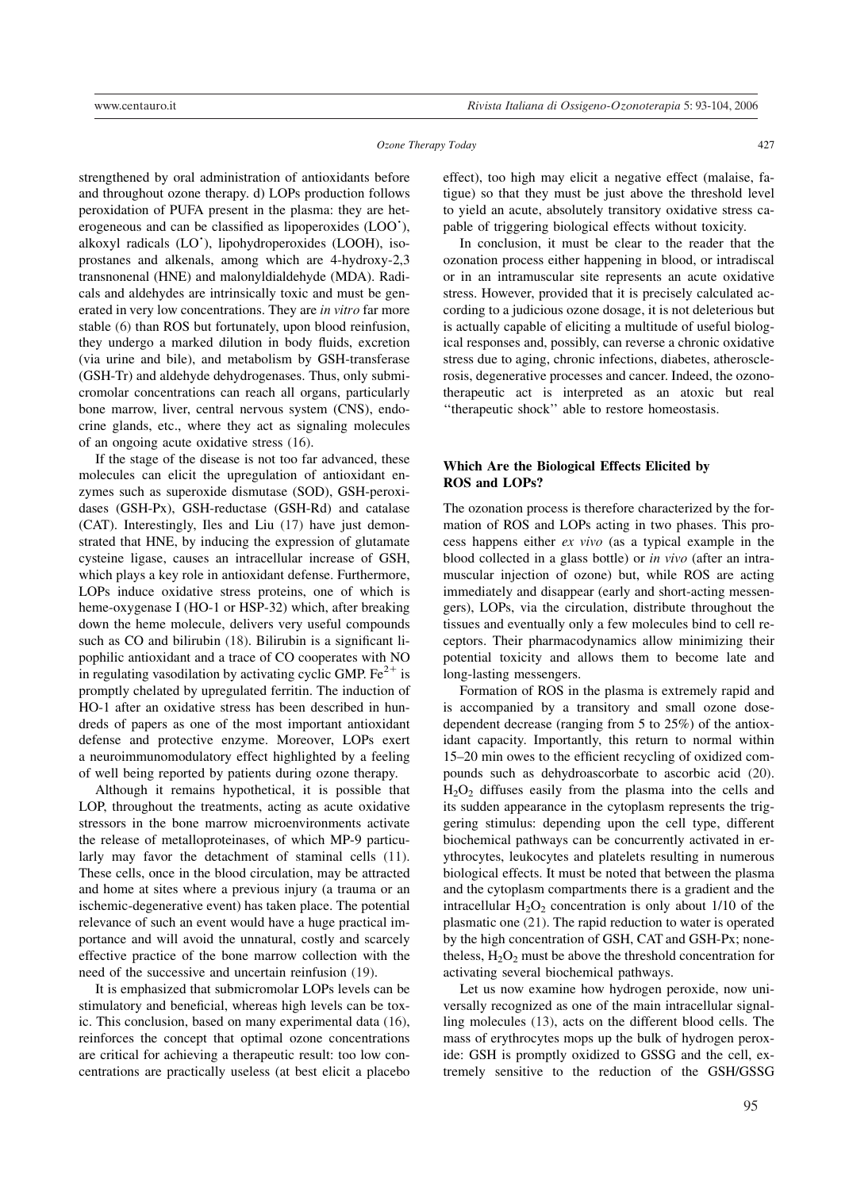strengthened by oral administration of antioxidants before and throughout ozone therapy. d) LOPs production follows peroxidation of PUFA present in the plasma: they are heterogeneous and can be classified as lipoperoxides (LOO'), alkoxyl radicals (LO'), lipohydroperoxides (LOOH), isoprostanes and alkenals, among which are 4-hydroxy-2,3 transnonenal (HNE) and malonyldialdehyde (MDA). Radicals and aldehydes are intrinsically toxic and must be generated in very low concentrations. They are in vitro far more stable (6) than ROS but fortunately, upon blood reinfusion, they undergo a marked dilution in body fluids, excretion (via urine and bile), and metabolism by GSH-transferase (GSH-Tr) and aldehyde dehydrogenases. Thus, only submicromolar concentrations can reach all organs, particularly bone marrow, liver, central nervous system (CNS), endocrine glands, etc., where they act as signaling molecules of an ongoing acute oxidative stress (16).

If the stage of the disease is not too far advanced, these molecules can elicit the upregulation of antioxidant enzymes such as superoxide dismutase (SOD), GSH-peroxidases (GSH-Px), GSH-reductase (GSH-Rd) and catalase (CAT). Interestingly, Iles and Liu (17) have just demonstrated that HNE, by inducing the expression of glutamate cysteine ligase, causes an intracellular increase of GSH, which plays a key role in antioxidant defense. Furthermore, LOPs induce oxidative stress proteins, one of which is heme-oxygenase I (HO-1 or HSP-32) which, after breaking down the heme molecule, delivers very useful compounds such as CO and bilirubin (18). Bilirubin is a significant lipophilic antioxidant and a trace of CO cooperates with NO in regulating vasodilation by activating cyclic GMP.  $Fe^{2+}$  is promptly chelated by upregulated ferritin. The induction of HO-1 after an oxidative stress has been described in hundreds of papers as one of the most important antioxidant defense and protective enzyme. Moreover, LOPs exert a neuroimmunomodulatory effect highlighted by a feeling of well being reported by patients during ozone therapy.

Although it remains hypothetical, it is possible that LOP, throughout the treatments, acting as acute oxidative stressors in the bone marrow microenvironments activate the release of metalloproteinases, of which MP-9 particularly may favor the detachment of staminal cells (11). These cells, once in the blood circulation, may be attracted and home at sites where a previous injury (a trauma or an ischemic-degenerative event) has taken place. The potential relevance of such an event would have a huge practical importance and will avoid the unnatural, costly and scarcely effective practice of the bone marrow collection with the need of the successive and uncertain reinfusion (19).

It is emphasized that submicromolar LOPs levels can be stimulatory and beneficial, whereas high levels can be toxic. This conclusion, based on many experimental data (16), reinforces the concept that optimal ozone concentrations are critical for achieving a therapeutic result: too low concentrations are practically useless (at best elicit a placebo effect), too high may elicit a negative effect (malaise, fatigue) so that they must be just above the threshold level to yield an acute, absolutely transitory oxidative stress capable of triggering biological effects without toxicity.

In conclusion, it must be clear to the reader that the ozonation process either happening in blood, or intradiscal or in an intramuscular site represents an acute oxidative stress. However, provided that it is precisely calculated according to a judicious ozone dosage, it is not deleterious but is actually capable of eliciting a multitude of useful biological responses and, possibly, can reverse a chronic oxidative stress due to aging, chronic infections, diabetes, atherosclerosis, degenerative processes and cancer. Indeed, the ozonotherapeutic act is interpreted as an atoxic but real ''therapeutic shock'' able to restore homeostasis.

# Which Are the Biological Effects Elicited by ROS and LOPs?

The ozonation process is therefore characterized by the formation of ROS and LOPs acting in two phases. This process happens either ex vivo (as a typical example in the blood collected in a glass bottle) or *in vivo* (after an intramuscular injection of ozone) but, while ROS are acting immediately and disappear (early and short-acting messengers), LOPs, via the circulation, distribute throughout the tissues and eventually only a few molecules bind to cell receptors. Their pharmacodynamics allow minimizing their potential toxicity and allows them to become late and long-lasting messengers.

Formation of ROS in the plasma is extremely rapid and is accompanied by a transitory and small ozone dosedependent decrease (ranging from 5 to 25%) of the antioxidant capacity. Importantly, this return to normal within 15–20 min owes to the efficient recycling of oxidized compounds such as dehydroascorbate to ascorbic acid (20).  $H_2O_2$  diffuses easily from the plasma into the cells and its sudden appearance in the cytoplasm represents the triggering stimulus: depending upon the cell type, different biochemical pathways can be concurrently activated in erythrocytes, leukocytes and platelets resulting in numerous biological effects. It must be noted that between the plasma and the cytoplasm compartments there is a gradient and the intracellular  $H_2O_2$  concentration is only about 1/10 of the plasmatic one (21). The rapid reduction to water is operated by the high concentration of GSH, CAT and GSH-Px; nonetheless,  $H_2O_2$  must be above the threshold concentration for activating several biochemical pathways.

Let us now examine how hydrogen peroxide, now universally recognized as one of the main intracellular signalling molecules (13), acts on the different blood cells. The mass of erythrocytes mops up the bulk of hydrogen peroxide: GSH is promptly oxidized to GSSG and the cell, extremely sensitive to the reduction of the GSH/GSSG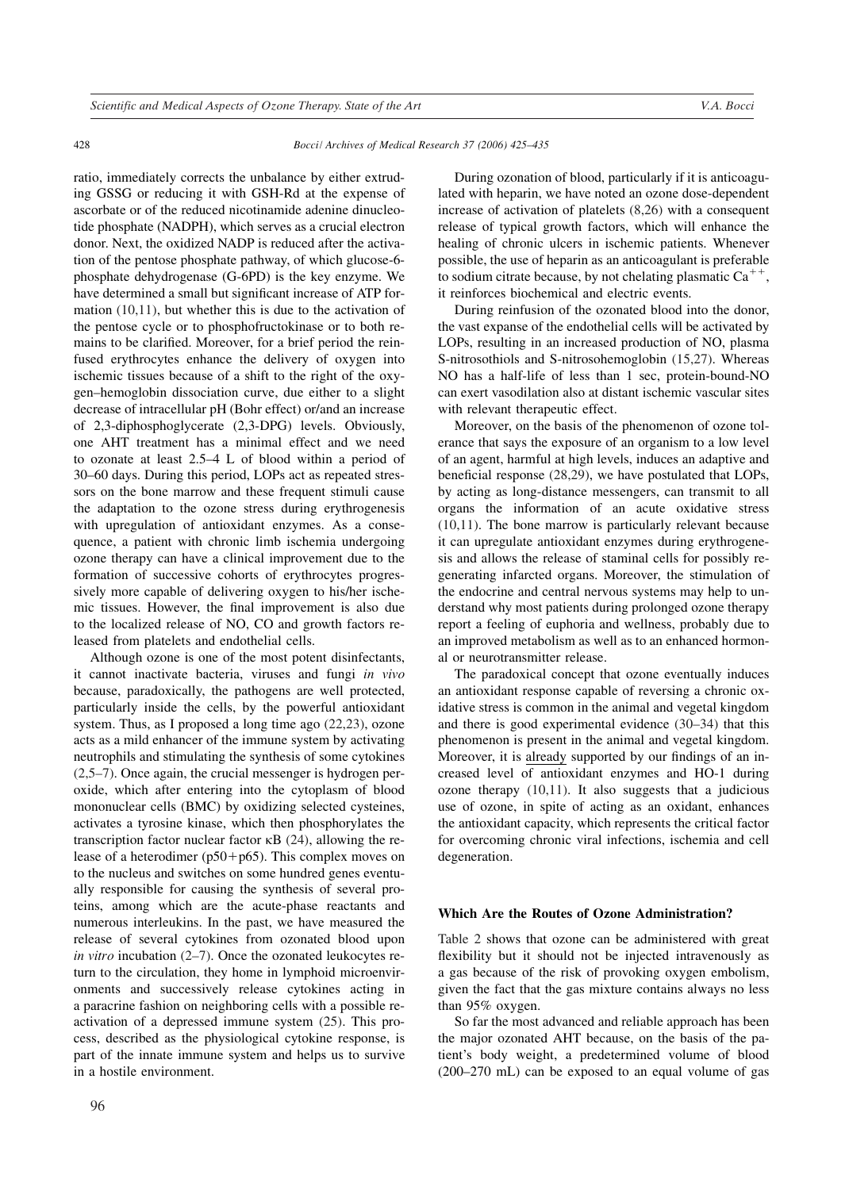ratio, immediately corrects the unbalance by either extruding GSSG or reducing it with GSH-Rd at the expense of ascorbate or of the reduced nicotinamide adenine dinucleotide phosphate (NADPH), which serves as a crucial electron donor. Next, the oxidized NADP is reduced after the activation of the pentose phosphate pathway, of which glucose-6 phosphate dehydrogenase (G-6PD) is the key enzyme. We have determined a small but significant increase of ATP formation (10,11), but whether this is due to the activation of the pentose cycle or to phosphofructokinase or to both remains to be clarified. Moreover, for a brief period the reinfused erythrocytes enhance the delivery of oxygen into ischemic tissues because of a shift to the right of the oxygen–hemoglobin dissociation curve, due either to a slight decrease of intracellular pH (Bohr effect) or/and an increase of 2,3-diphosphoglycerate (2,3-DPG) levels. Obviously, one AHT treatment has a minimal effect and we need to ozonate at least 2.5–4 L of blood within a period of 30–60 days. During this period, LOPs act as repeated stressors on the bone marrow and these frequent stimuli cause the adaptation to the ozone stress during erythrogenesis with upregulation of antioxidant enzymes. As a consequence, a patient with chronic limb ischemia undergoing ozone therapy can have a clinical improvement due to the formation of successive cohorts of erythrocytes progressively more capable of delivering oxygen to his/her ischemic tissues. However, the final improvement is also due to the localized release of NO, CO and growth factors released from platelets and endothelial cells.

Although ozone is one of the most potent disinfectants, it cannot inactivate bacteria, viruses and fungi in vivo because, paradoxically, the pathogens are well protected, particularly inside the cells, by the powerful antioxidant system. Thus, as I proposed a long time ago (22,23), ozone acts as a mild enhancer of the immune system by activating neutrophils and stimulating the synthesis of some cytokines (2,5–7). Once again, the crucial messenger is hydrogen peroxide, which after entering into the cytoplasm of blood mononuclear cells (BMC) by oxidizing selected cysteines, activates a tyrosine kinase, which then phosphorylates the transcription factor nuclear factor  $\kappa$ B (24), allowing the release of a heterodimer ( $p50+p65$ ). This complex moves on to the nucleus and switches on some hundred genes eventually responsible for causing the synthesis of several proteins, among which are the acute-phase reactants and numerous interleukins. In the past, we have measured the release of several cytokines from ozonated blood upon in vitro incubation  $(2-7)$ . Once the ozonated leukocytes return to the circulation, they home in lymphoid microenvironments and successively release cytokines acting in a paracrine fashion on neighboring cells with a possible reactivation of a depressed immune system (25). This process, described as the physiological cytokine response, is part of the innate immune system and helps us to survive in a hostile environment.

During ozonation of blood, particularly if it is anticoagulated with heparin, we have noted an ozone dose-dependent increase of activation of platelets (8,26) with a consequent release of typical growth factors, which will enhance the healing of chronic ulcers in ischemic patients. Whenever possible, the use of heparin as an anticoagulant is preferable to sodium citrate because, by not chelating plasmatic  $Ca^{++}$ , it reinforces biochemical and electric events.

During reinfusion of the ozonated blood into the donor, the vast expanse of the endothelial cells will be activated by LOPs, resulting in an increased production of NO, plasma S-nitrosothiols and S-nitrosohemoglobin (15,27). Whereas NO has a half-life of less than 1 sec, protein-bound-NO can exert vasodilation also at distant ischemic vascular sites with relevant therapeutic effect.

Moreover, on the basis of the phenomenon of ozone tolerance that says the exposure of an organism to a low level of an agent, harmful at high levels, induces an adaptive and beneficial response (28,29), we have postulated that LOPs, by acting as long-distance messengers, can transmit to all organs the information of an acute oxidative stress (10,11). The bone marrow is particularly relevant because it can upregulate antioxidant enzymes during erythrogenesis and allows the release of staminal cells for possibly regenerating infarcted organs. Moreover, the stimulation of the endocrine and central nervous systems may help to understand why most patients during prolonged ozone therapy report a feeling of euphoria and wellness, probably due to an improved metabolism as well as to an enhanced hormonal or neurotransmitter release.

The paradoxical concept that ozone eventually induces an antioxidant response capable of reversing a chronic oxidative stress is common in the animal and vegetal kingdom and there is good experimental evidence (30–34) that this phenomenon is present in the animal and vegetal kingdom. Moreover, it is already supported by our findings of an increased level of antioxidant enzymes and HO-1 during ozone therapy (10,11). It also suggests that a judicious use of ozone, in spite of acting as an oxidant, enhances the antioxidant capacity, which represents the critical factor for overcoming chronic viral infections, ischemia and cell degeneration.

# Which Are the Routes of Ozone Administration?

Table 2 shows that ozone can be administered with great flexibility but it should not be injected intravenously as a gas because of the risk of provoking oxygen embolism, given the fact that the gas mixture contains always no less than 95% oxygen.

So far the most advanced and reliable approach has been the major ozonated AHT because, on the basis of the patient's body weight, a predetermined volume of blood (200–270 mL) can be exposed to an equal volume of gas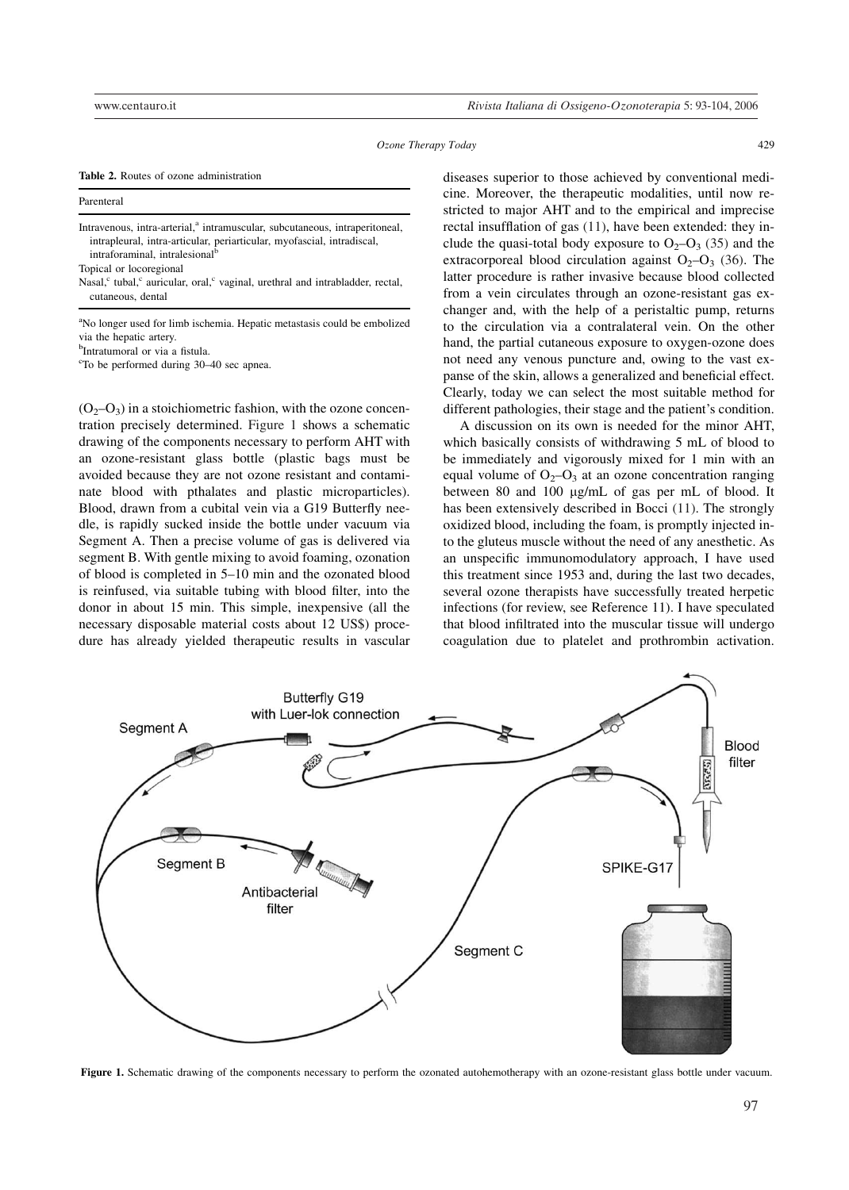Table 2. Routes of ozone administration

| Parenteral                                                                              |  |
|-----------------------------------------------------------------------------------------|--|
| Intravenous, intra-arterial, <sup>a</sup> intramuscular, subcutaneous, intraperitoneal, |  |
| intrapleural, intra-articular, periarticular, myofascial, intradiscal,                  |  |
| intraforaminal, intralesional <sup>b</sup>                                              |  |
| Topical or locoregional                                                                 |  |
| Nasal, tubal, auricular, oral, vaginal, urethral and intrabladder, rectal,              |  |

cutaneous, dental

<sup>a</sup>No longer used for limb ischemia. Hepatic metastasis could be embolized via the hepatic artery.

b Intratumoral or via a fistula.

<sup>c</sup>To be performed during 30–40 sec apnea.

 $(O_2-O_3)$  in a stoichiometric fashion, with the ozone concentration precisely determined. Figure 1 shows a schematic drawing of the components necessary to perform AHT with an ozone-resistant glass bottle (plastic bags must be avoided because they are not ozone resistant and contaminate blood with pthalates and plastic microparticles). Blood, drawn from a cubital vein via a G19 Butterfly needle, is rapidly sucked inside the bottle under vacuum via Segment A. Then a precise volume of gas is delivered via segment B. With gentle mixing to avoid foaming, ozonation of blood is completed in 5–10 min and the ozonated blood is reinfused, via suitable tubing with blood filter, into the donor in about 15 min. This simple, inexpensive (all the necessary disposable material costs about 12 US\$) procedure has already yielded therapeutic results in vascular diseases superior to those achieved by conventional medicine. Moreover, the therapeutic modalities, until now restricted to major AHT and to the empirical and imprecise rectal insufflation of gas (11), have been extended: they include the quasi-total body exposure to  $O_2-O_3$  (35) and the extracorporeal blood circulation against  $O_2-O_3$  (36). The latter procedure is rather invasive because blood collected from a vein circulates through an ozone-resistant gas exchanger and, with the help of a peristaltic pump, returns to the circulation via a contralateral vein. On the other hand, the partial cutaneous exposure to oxygen-ozone does not need any venous puncture and, owing to the vast expanse of the skin, allows a generalized and beneficial effect. Clearly, today we can select the most suitable method for different pathologies, their stage and the patient's condition.

A discussion on its own is needed for the minor AHT, which basically consists of withdrawing 5 mL of blood to be immediately and vigorously mixed for 1 min with an equal volume of  $O_2-O_3$  at an ozone concentration ranging between 80 and 100 mg/mL of gas per mL of blood. It has been extensively described in Bocci (11). The strongly oxidized blood, including the foam, is promptly injected into the gluteus muscle without the need of any anesthetic. As an unspecific immunomodulatory approach, I have used this treatment since 1953 and, during the last two decades, several ozone therapists have successfully treated herpetic infections (for review, see Reference 11). I have speculated that blood infiltrated into the muscular tissue will undergo coagulation due to platelet and prothrombin activation.



Figure 1. Schematic drawing of the components necessary to perform the ozonated autohemotherapy with an ozone-resistant glass bottle under vacuum.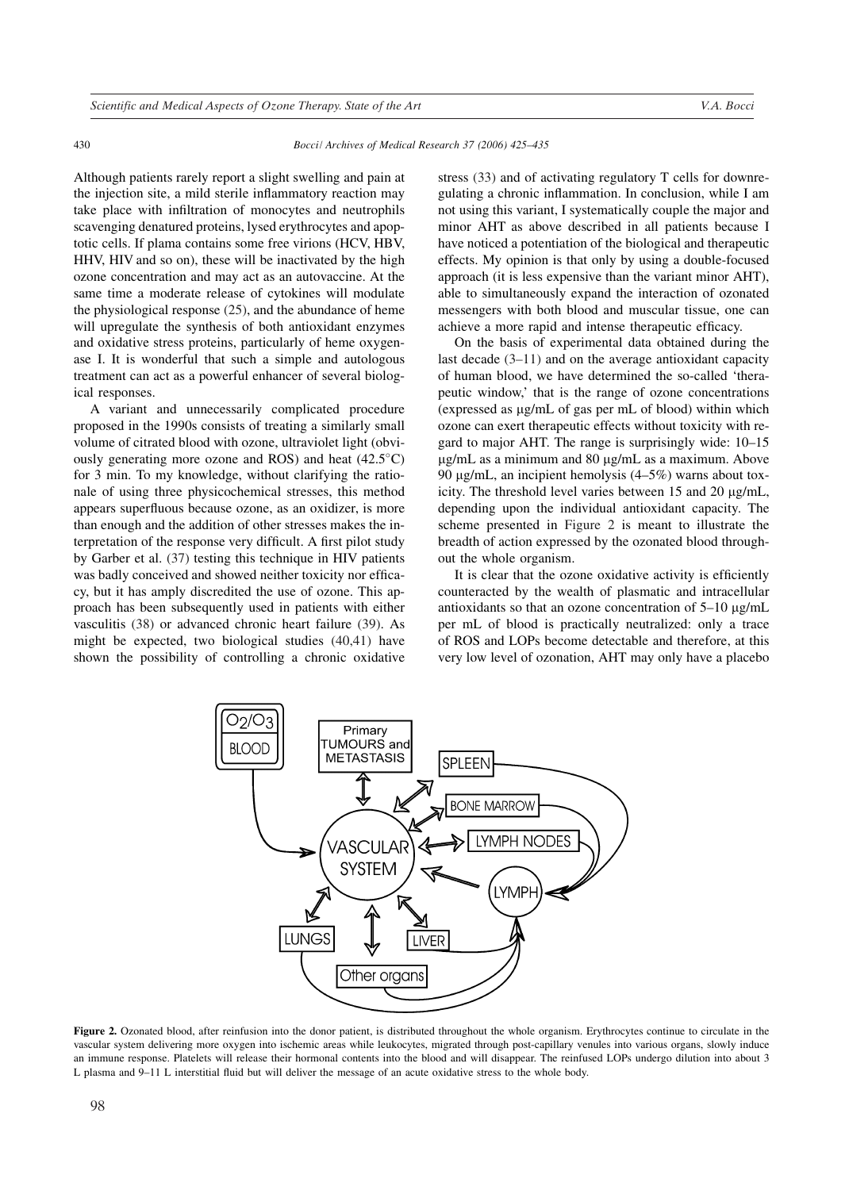Although patients rarely report a slight swelling and pain at the injection site, a mild sterile inflammatory reaction may take place with infiltration of monocytes and neutrophils scavenging denatured proteins, lysed erythrocytes and apoptotic cells. If plama contains some free virions (HCV, HBV, HHV, HIV and so on), these will be inactivated by the high ozone concentration and may act as an autovaccine. At the same time a moderate release of cytokines will modulate the physiological response (25), and the abundance of heme will upregulate the synthesis of both antioxidant enzymes and oxidative stress proteins, particularly of heme oxygenase I. It is wonderful that such a simple and autologous treatment can act as a powerful enhancer of several biological responses.

A variant and unnecessarily complicated procedure proposed in the 1990s consists of treating a similarly small volume of citrated blood with ozone, ultraviolet light (obviously generating more ozone and ROS) and heat  $(42.5^{\circ}C)$ for 3 min. To my knowledge, without clarifying the rationale of using three physicochemical stresses, this method appears superfluous because ozone, as an oxidizer, is more than enough and the addition of other stresses makes the interpretation of the response very difficult. A first pilot study by Garber et al. (37) testing this technique in HIV patients was badly conceived and showed neither toxicity nor efficacy, but it has amply discredited the use of ozone. This approach has been subsequently used in patients with either vasculitis (38) or advanced chronic heart failure (39). As might be expected, two biological studies (40,41) have shown the possibility of controlling a chronic oxidative

stress (33) and of activating regulatory T cells for downregulating a chronic inflammation. In conclusion, while I am not using this variant, I systematically couple the major and minor AHT as above described in all patients because I have noticed a potentiation of the biological and therapeutic effects. My opinion is that only by using a double-focused approach (it is less expensive than the variant minor AHT), able to simultaneously expand the interaction of ozonated messengers with both blood and muscular tissue, one can achieve a more rapid and intense therapeutic efficacy.

On the basis of experimental data obtained during the last decade (3–11) and on the average antioxidant capacity of human blood, we have determined the so-called 'therapeutic window,' that is the range of ozone concentrations (expressed as  $\mu$ g/mL of gas per mL of blood) within which ozone can exert therapeutic effects without toxicity with regard to major AHT. The range is surprisingly wide: 10–15  $\mu$ g/mL as a minimum and 80  $\mu$ g/mL as a maximum. Above 90  $\mu$ g/mL, an incipient hemolysis (4–5%) warns about toxicity. The threshold level varies between 15 and 20  $\mu$ g/mL, depending upon the individual antioxidant capacity. The scheme presented in Figure 2 is meant to illustrate the breadth of action expressed by the ozonated blood throughout the whole organism.

It is clear that the ozone oxidative activity is efficiently counteracted by the wealth of plasmatic and intracellular antioxidants so that an ozone concentration of  $5-10 \mu g/mL$ per mL of blood is practically neutralized: only a trace of ROS and LOPs become detectable and therefore, at this very low level of ozonation, AHT may only have a placebo



Figure 2. Ozonated blood, after reinfusion into the donor patient, is distributed throughout the whole organism. Erythrocytes continue to circulate in the vascular system delivering more oxygen into ischemic areas while leukocytes, migrated through post-capillary venules into various organs, slowly induce an immune response. Platelets will release their hormonal contents into the blood and will disappear. The reinfused LOPs undergo dilution into about 3 L plasma and 9–11 L interstitial fluid but will deliver the message of an acute oxidative stress to the whole body.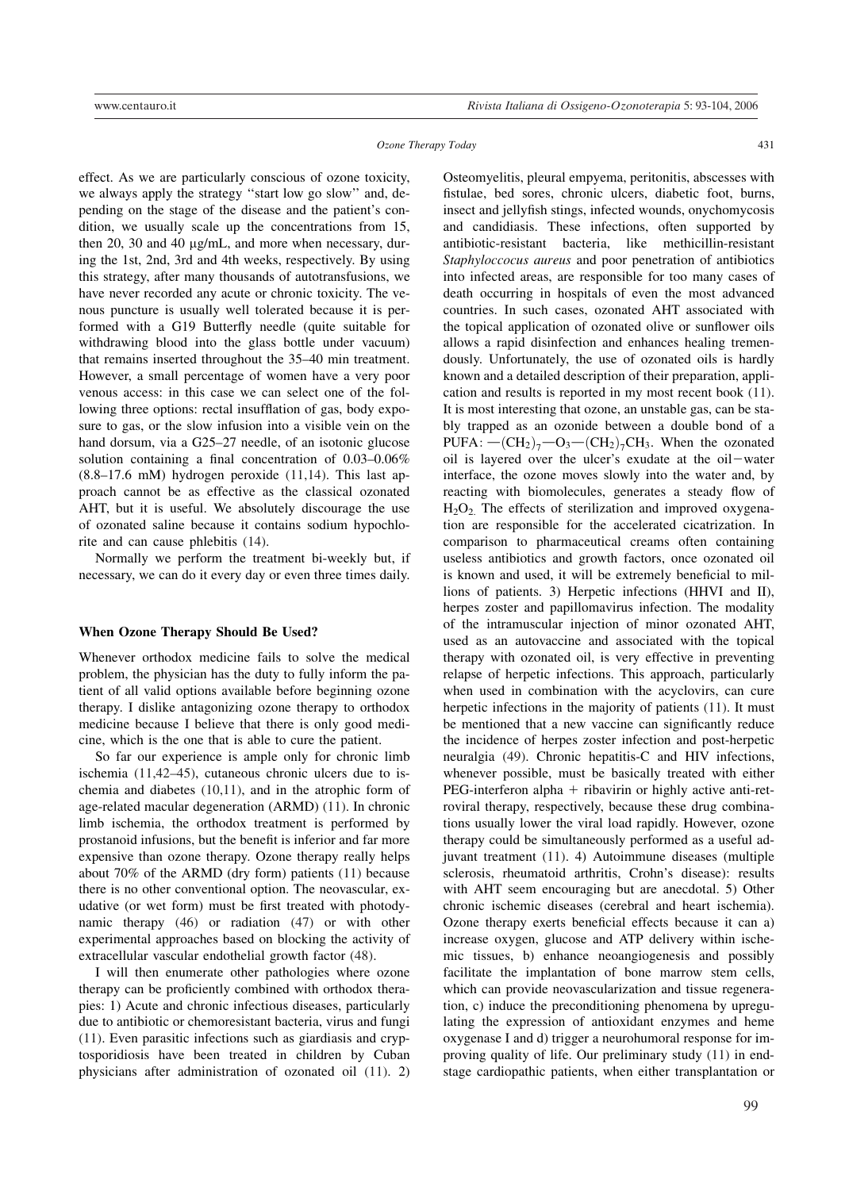effect. As we are particularly conscious of ozone toxicity, we always apply the strategy ''start low go slow'' and, depending on the stage of the disease and the patient's condition, we usually scale up the concentrations from 15, then 20, 30 and 40 µg/mL, and more when necessary, during the 1st, 2nd, 3rd and 4th weeks, respectively. By using this strategy, after many thousands of autotransfusions, we have never recorded any acute or chronic toxicity. The venous puncture is usually well tolerated because it is performed with a G19 Butterfly needle (quite suitable for withdrawing blood into the glass bottle under vacuum) that remains inserted throughout the 35–40 min treatment. However, a small percentage of women have a very poor venous access: in this case we can select one of the following three options: rectal insufflation of gas, body exposure to gas, or the slow infusion into a visible vein on the hand dorsum, via a G25–27 needle, of an isotonic glucose solution containing a final concentration of 0.03–0.06% (8.8–17.6 mM) hydrogen peroxide (11,14). This last approach cannot be as effective as the classical ozonated AHT, but it is useful. We absolutely discourage the use of ozonated saline because it contains sodium hypochlorite and can cause phlebitis (14).

Normally we perform the treatment bi-weekly but, if necessary, we can do it every day or even three times daily.

### When Ozone Therapy Should Be Used?

Whenever orthodox medicine fails to solve the medical problem, the physician has the duty to fully inform the patient of all valid options available before beginning ozone therapy. I dislike antagonizing ozone therapy to orthodox medicine because I believe that there is only good medicine, which is the one that is able to cure the patient.

So far our experience is ample only for chronic limb ischemia (11,42–45), cutaneous chronic ulcers due to ischemia and diabetes (10,11), and in the atrophic form of age-related macular degeneration (ARMD) (11). In chronic limb ischemia, the orthodox treatment is performed by prostanoid infusions, but the benefit is inferior and far more expensive than ozone therapy. Ozone therapy really helps about 70% of the ARMD (dry form) patients (11) because there is no other conventional option. The neovascular, exudative (or wet form) must be first treated with photodynamic therapy (46) or radiation (47) or with other experimental approaches based on blocking the activity of extracellular vascular endothelial growth factor (48).

I will then enumerate other pathologies where ozone therapy can be proficiently combined with orthodox therapies: 1) Acute and chronic infectious diseases, particularly due to antibiotic or chemoresistant bacteria, virus and fungi (11). Even parasitic infections such as giardiasis and cryptosporidiosis have been treated in children by Cuban physicians after administration of ozonated oil (11). 2) Osteomyelitis, pleural empyema, peritonitis, abscesses with fistulae, bed sores, chronic ulcers, diabetic foot, burns, insect and jellyfish stings, infected wounds, onychomycosis and candidiasis. These infections, often supported by antibiotic-resistant bacteria, like methicillin-resistant Staphyloccocus aureus and poor penetration of antibiotics into infected areas, are responsible for too many cases of death occurring in hospitals of even the most advanced countries. In such cases, ozonated AHT associated with the topical application of ozonated olive or sunflower oils allows a rapid disinfection and enhances healing tremendously. Unfortunately, the use of ozonated oils is hardly known and a detailed description of their preparation, application and results is reported in my most recent book (11). It is most interesting that ozone, an unstable gas, can be stably trapped as an ozonide between a double bond of a PUFA:  $-(CH_2)<sub>7</sub>-O<sub>3</sub>-(CH_2)<sub>7</sub>CH<sub>3</sub>$ . When the ozonated oil is layered over the ulcer's exudate at the oil-water interface, the ozone moves slowly into the water and, by reacting with biomolecules, generates a steady flow of  $H_2O_2$ . The effects of sterilization and improved oxygenation are responsible for the accelerated cicatrization. In comparison to pharmaceutical creams often containing useless antibiotics and growth factors, once ozonated oil is known and used, it will be extremely beneficial to millions of patients. 3) Herpetic infections (HHVI and II), herpes zoster and papillomavirus infection. The modality of the intramuscular injection of minor ozonated AHT, used as an autovaccine and associated with the topical therapy with ozonated oil, is very effective in preventing relapse of herpetic infections. This approach, particularly when used in combination with the acyclovirs, can cure herpetic infections in the majority of patients (11). It must be mentioned that a new vaccine can significantly reduce the incidence of herpes zoster infection and post-herpetic neuralgia (49). Chronic hepatitis-C and HIV infections, whenever possible, must be basically treated with either  $PEG\text{-interferon alpha} + \text{ribavirin or highly active anti-ret-}$ roviral therapy, respectively, because these drug combinations usually lower the viral load rapidly. However, ozone therapy could be simultaneously performed as a useful adjuvant treatment (11). 4) Autoimmune diseases (multiple sclerosis, rheumatoid arthritis, Crohn's disease): results with AHT seem encouraging but are anecdotal. 5) Other chronic ischemic diseases (cerebral and heart ischemia). Ozone therapy exerts beneficial effects because it can a) increase oxygen, glucose and ATP delivery within ischemic tissues, b) enhance neoangiogenesis and possibly facilitate the implantation of bone marrow stem cells, which can provide neovascularization and tissue regeneration, c) induce the preconditioning phenomena by upregulating the expression of antioxidant enzymes and heme oxygenase I and d) trigger a neurohumoral response for improving quality of life. Our preliminary study (11) in endstage cardiopathic patients, when either transplantation or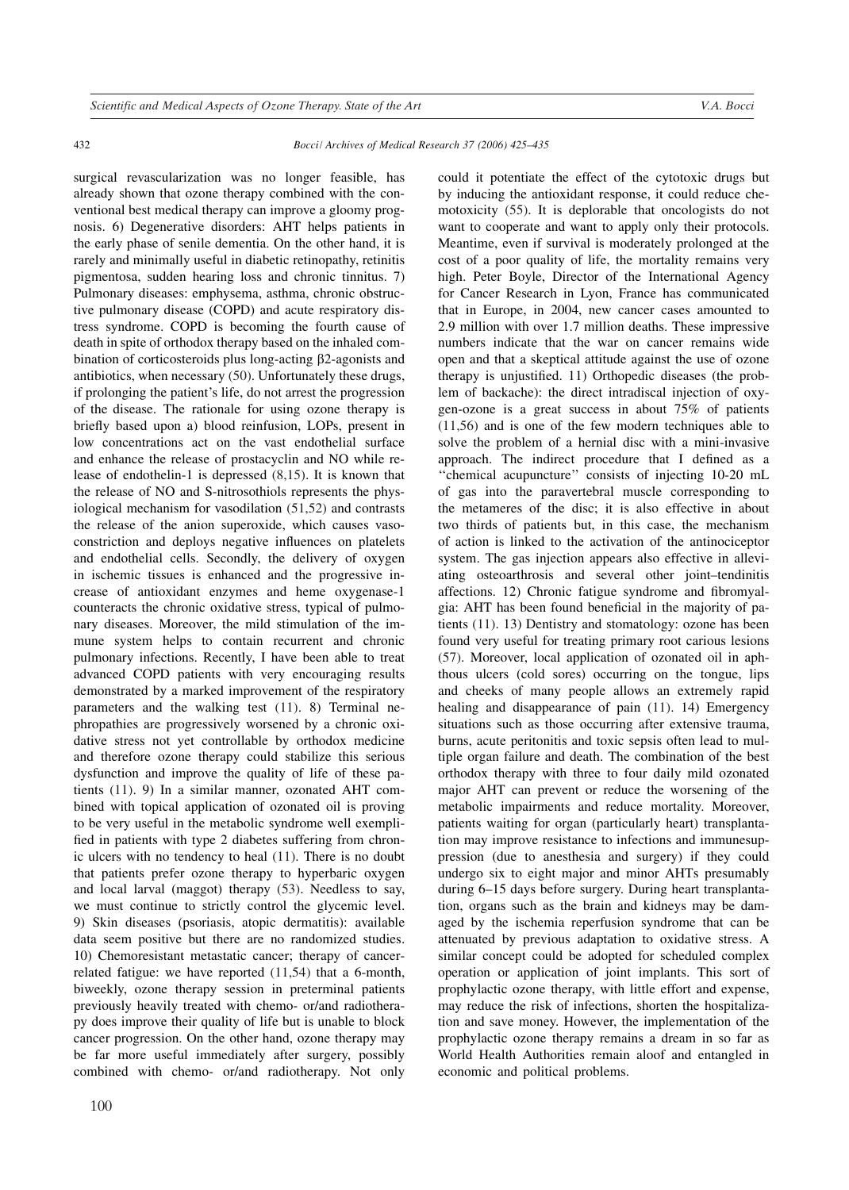surgical revascularization was no longer feasible, has already shown that ozone therapy combined with the conventional best medical therapy can improve a gloomy prognosis. 6) Degenerative disorders: AHT helps patients in the early phase of senile dementia. On the other hand, it is rarely and minimally useful in diabetic retinopathy, retinitis pigmentosa, sudden hearing loss and chronic tinnitus. 7) Pulmonary diseases: emphysema, asthma, chronic obstructive pulmonary disease (COPD) and acute respiratory distress syndrome. COPD is becoming the fourth cause of death in spite of orthodox therapy based on the inhaled combination of corticosteroids plus long-acting  $\beta$ 2-agonists and antibiotics, when necessary (50). Unfortunately these drugs, if prolonging the patient's life, do not arrest the progression of the disease. The rationale for using ozone therapy is briefly based upon a) blood reinfusion, LOPs, present in low concentrations act on the vast endothelial surface and enhance the release of prostacyclin and NO while release of endothelin-1 is depressed (8,15). It is known that the release of NO and S-nitrosothiols represents the physiological mechanism for vasodilation (51,52) and contrasts the release of the anion superoxide, which causes vasoconstriction and deploys negative influences on platelets and endothelial cells. Secondly, the delivery of oxygen in ischemic tissues is enhanced and the progressive increase of antioxidant enzymes and heme oxygenase-1 counteracts the chronic oxidative stress, typical of pulmonary diseases. Moreover, the mild stimulation of the immune system helps to contain recurrent and chronic pulmonary infections. Recently, I have been able to treat advanced COPD patients with very encouraging results demonstrated by a marked improvement of the respiratory parameters and the walking test (11). 8) Terminal nephropathies are progressively worsened by a chronic oxidative stress not yet controllable by orthodox medicine and therefore ozone therapy could stabilize this serious dysfunction and improve the quality of life of these patients (11). 9) In a similar manner, ozonated AHT combined with topical application of ozonated oil is proving to be very useful in the metabolic syndrome well exemplified in patients with type 2 diabetes suffering from chronic ulcers with no tendency to heal (11). There is no doubt that patients prefer ozone therapy to hyperbaric oxygen and local larval (maggot) therapy (53). Needless to say, we must continue to strictly control the glycemic level. 9) Skin diseases (psoriasis, atopic dermatitis): available data seem positive but there are no randomized studies. 10) Chemoresistant metastatic cancer; therapy of cancerrelated fatigue: we have reported (11,54) that a 6-month, biweekly, ozone therapy session in preterminal patients previously heavily treated with chemo- or/and radiotherapy does improve their quality of life but is unable to block cancer progression. On the other hand, ozone therapy may be far more useful immediately after surgery, possibly combined with chemo- or/and radiotherapy. Not only

could it potentiate the effect of the cytotoxic drugs but by inducing the antioxidant response, it could reduce chemotoxicity (55). It is deplorable that oncologists do not want to cooperate and want to apply only their protocols. Meantime, even if survival is moderately prolonged at the cost of a poor quality of life, the mortality remains very high. Peter Boyle, Director of the International Agency for Cancer Research in Lyon, France has communicated that in Europe, in 2004, new cancer cases amounted to 2.9 million with over 1.7 million deaths. These impressive numbers indicate that the war on cancer remains wide open and that a skeptical attitude against the use of ozone therapy is unjustified. 11) Orthopedic diseases (the problem of backache): the direct intradiscal injection of oxygen-ozone is a great success in about 75% of patients (11,56) and is one of the few modern techniques able to solve the problem of a hernial disc with a mini-invasive approach. The indirect procedure that I defined as a "chemical acupuncture" consists of injecting 10-20 mL of gas into the paravertebral muscle corresponding to the metameres of the disc; it is also effective in about two thirds of patients but, in this case, the mechanism of action is linked to the activation of the antinociceptor system. The gas injection appears also effective in alleviating osteoarthrosis and several other joint–tendinitis affections. 12) Chronic fatigue syndrome and fibromyalgia: AHT has been found beneficial in the majority of patients (11). 13) Dentistry and stomatology: ozone has been found very useful for treating primary root carious lesions (57). Moreover, local application of ozonated oil in aphthous ulcers (cold sores) occurring on the tongue, lips and cheeks of many people allows an extremely rapid healing and disappearance of pain (11). 14) Emergency situations such as those occurring after extensive trauma, burns, acute peritonitis and toxic sepsis often lead to multiple organ failure and death. The combination of the best orthodox therapy with three to four daily mild ozonated major AHT can prevent or reduce the worsening of the metabolic impairments and reduce mortality. Moreover, patients waiting for organ (particularly heart) transplantation may improve resistance to infections and immunesuppression (due to anesthesia and surgery) if they could undergo six to eight major and minor AHTs presumably during 6–15 days before surgery. During heart transplantation, organs such as the brain and kidneys may be damaged by the ischemia reperfusion syndrome that can be attenuated by previous adaptation to oxidative stress. A similar concept could be adopted for scheduled complex operation or application of joint implants. This sort of prophylactic ozone therapy, with little effort and expense, may reduce the risk of infections, shorten the hospitalization and save money. However, the implementation of the prophylactic ozone therapy remains a dream in so far as World Health Authorities remain aloof and entangled in economic and political problems.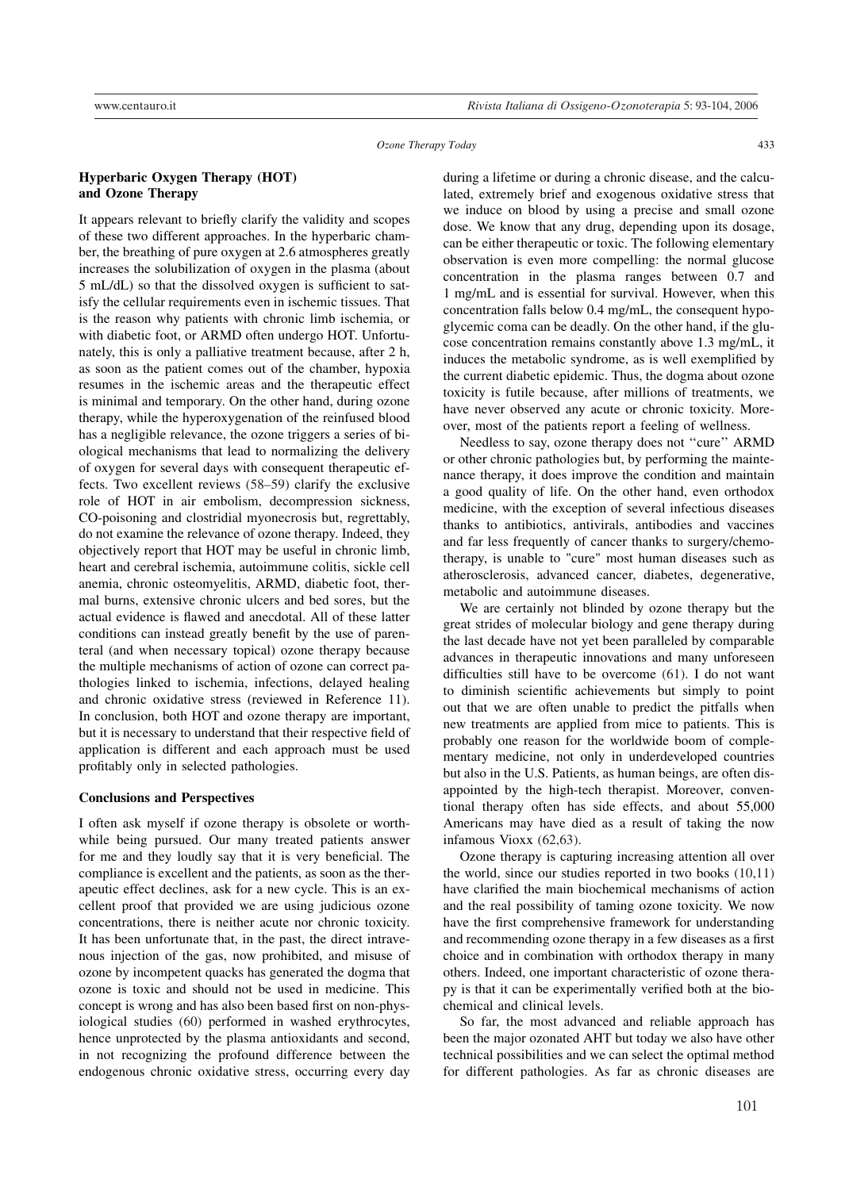# Hyperbaric Oxygen Therapy (HOT) and Ozone Therapy

It appears relevant to briefly clarify the validity and scopes of these two different approaches. In the hyperbaric chamber, the breathing of pure oxygen at 2.6 atmospheres greatly increases the solubilization of oxygen in the plasma (about 5 mL/dL) so that the dissolved oxygen is sufficient to satisfy the cellular requirements even in ischemic tissues. That is the reason why patients with chronic limb ischemia, or with diabetic foot, or ARMD often undergo HOT. Unfortunately, this is only a palliative treatment because, after 2 h, as soon as the patient comes out of the chamber, hypoxia resumes in the ischemic areas and the therapeutic effect is minimal and temporary. On the other hand, during ozone therapy, while the hyperoxygenation of the reinfused blood has a negligible relevance, the ozone triggers a series of biological mechanisms that lead to normalizing the delivery of oxygen for several days with consequent therapeutic effects. Two excellent reviews (58–59) clarify the exclusive role of HOT in air embolism, decompression sickness, CO-poisoning and clostridial myonecrosis but, regrettably, do not examine the relevance of ozone therapy. Indeed, they objectively report that HOT may be useful in chronic limb, heart and cerebral ischemia, autoimmune colitis, sickle cell anemia, chronic osteomyelitis, ARMD, diabetic foot, thermal burns, extensive chronic ulcers and bed sores, but the actual evidence is flawed and anecdotal. All of these latter conditions can instead greatly benefit by the use of parenteral (and when necessary topical) ozone therapy because the multiple mechanisms of action of ozone can correct pathologies linked to ischemia, infections, delayed healing and chronic oxidative stress (reviewed in Reference 11). In conclusion, both HOT and ozone therapy are important, but it is necessary to understand that their respective field of application is different and each approach must be used profitably only in selected pathologies.

# Conclusions and Perspectives

I often ask myself if ozone therapy is obsolete or worthwhile being pursued. Our many treated patients answer for me and they loudly say that it is very beneficial. The compliance is excellent and the patients, as soon as the therapeutic effect declines, ask for a new cycle. This is an excellent proof that provided we are using judicious ozone concentrations, there is neither acute nor chronic toxicity. It has been unfortunate that, in the past, the direct intravenous injection of the gas, now prohibited, and misuse of ozone by incompetent quacks has generated the dogma that ozone is toxic and should not be used in medicine. This concept is wrong and has also been based first on non-physiological studies (60) performed in washed erythrocytes, hence unprotected by the plasma antioxidants and second, in not recognizing the profound difference between the endogenous chronic oxidative stress, occurring every day

during a lifetime or during a chronic disease, and the calculated, extremely brief and exogenous oxidative stress that we induce on blood by using a precise and small ozone dose. We know that any drug, depending upon its dosage, can be either therapeutic or toxic. The following elementary observation is even more compelling: the normal glucose concentration in the plasma ranges between 0.7 and 1 mg/mL and is essential for survival. However, when this concentration falls below 0.4 mg/mL, the consequent hypoglycemic coma can be deadly. On the other hand, if the glucose concentration remains constantly above 1.3 mg/mL, it induces the metabolic syndrome, as is well exemplified by the current diabetic epidemic. Thus, the dogma about ozone toxicity is futile because, after millions of treatments, we have never observed any acute or chronic toxicity. Moreover, most of the patients report a feeling of wellness.

Needless to say, ozone therapy does not ''cure'' ARMD or other chronic pathologies but, by performing the maintenance therapy, it does improve the condition and maintain a good quality of life. On the other hand, even orthodox medicine, with the exception of several infectious diseases thanks to antibiotics, antivirals, antibodies and vaccines and far less frequently of cancer thanks to surgery/chemotherapy, is unable to "cure" most human diseases such as atherosclerosis, advanced cancer, diabetes, degenerative, metabolic and autoimmune diseases.

We are certainly not blinded by ozone therapy but the great strides of molecular biology and gene therapy during the last decade have not yet been paralleled by comparable advances in therapeutic innovations and many unforeseen difficulties still have to be overcome (61). I do not want to diminish scientific achievements but simply to point out that we are often unable to predict the pitfalls when new treatments are applied from mice to patients. This is probably one reason for the worldwide boom of complementary medicine, not only in underdeveloped countries but also in the U.S. Patients, as human beings, are often disappointed by the high-tech therapist. Moreover, conventional therapy often has side effects, and about 55,000 Americans may have died as a result of taking the now infamous Vioxx (62,63).

Ozone therapy is capturing increasing attention all over the world, since our studies reported in two books (10,11) have clarified the main biochemical mechanisms of action and the real possibility of taming ozone toxicity. We now have the first comprehensive framework for understanding and recommending ozone therapy in a few diseases as a first choice and in combination with orthodox therapy in many others. Indeed, one important characteristic of ozone therapy is that it can be experimentally verified both at the biochemical and clinical levels.

So far, the most advanced and reliable approach has been the major ozonated AHT but today we also have other technical possibilities and we can select the optimal method for different pathologies. As far as chronic diseases are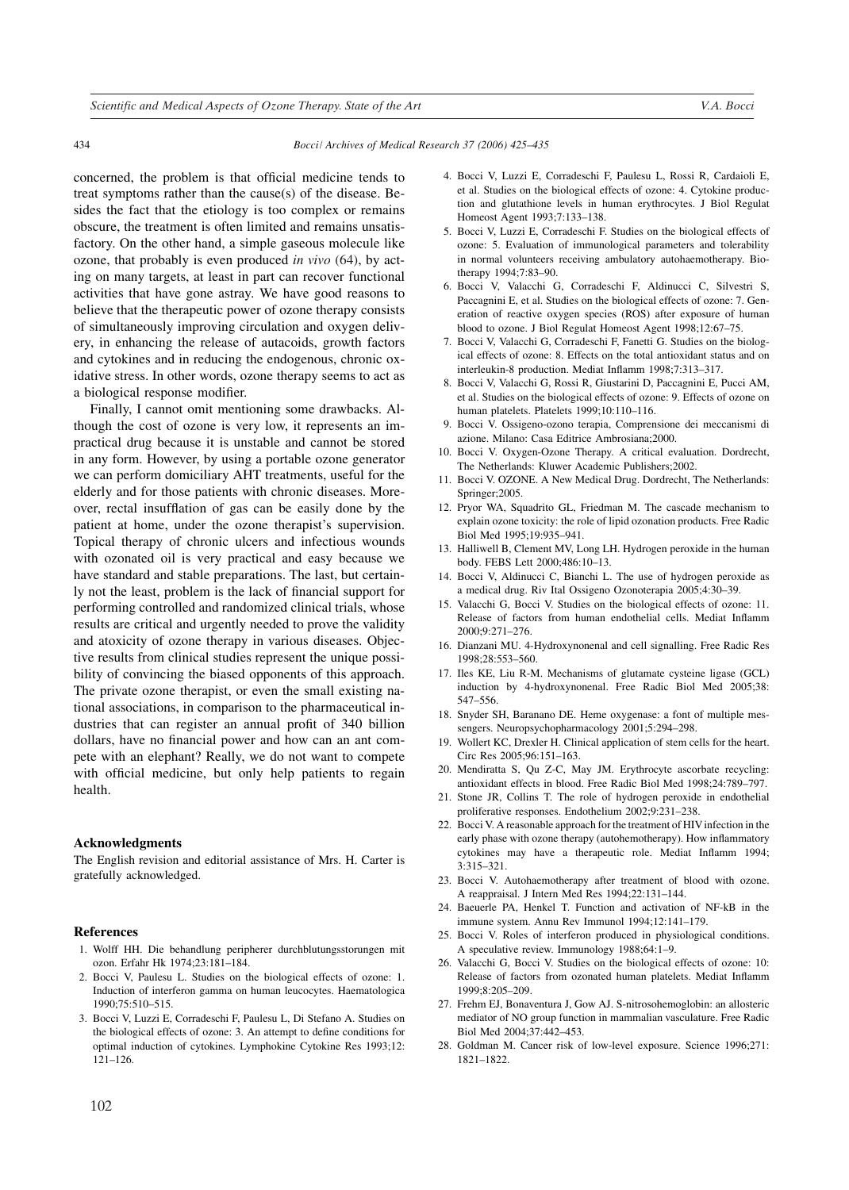concerned, the problem is that official medicine tends to treat symptoms rather than the cause(s) of the disease. Besides the fact that the etiology is too complex or remains obscure, the treatment is often limited and remains unsatisfactory. On the other hand, a simple gaseous molecule like ozone, that probably is even produced in vivo  $(64)$ , by acting on many targets, at least in part can recover functional activities that have gone astray. We have good reasons to believe that the therapeutic power of ozone therapy consists of simultaneously improving circulation and oxygen delivery, in enhancing the release of autacoids, growth factors and cytokines and in reducing the endogenous, chronic oxidative stress. In other words, ozone therapy seems to act as a biological response modifier.

Finally, I cannot omit mentioning some drawbacks. Although the cost of ozone is very low, it represents an impractical drug because it is unstable and cannot be stored in any form. However, by using a portable ozone generator we can perform domiciliary AHT treatments, useful for the elderly and for those patients with chronic diseases. Moreover, rectal insufflation of gas can be easily done by the patient at home, under the ozone therapist's supervision. Topical therapy of chronic ulcers and infectious wounds with ozonated oil is very practical and easy because we have standard and stable preparations. The last, but certainly not the least, problem is the lack of financial support for performing controlled and randomized clinical trials, whose results are critical and urgently needed to prove the validity and atoxicity of ozone therapy in various diseases. Objective results from clinical studies represent the unique possibility of convincing the biased opponents of this approach. The private ozone therapist, or even the small existing national associations, in comparison to the pharmaceutical industries that can register an annual profit of 340 billion dollars, have no financial power and how can an ant compete with an elephant? Really, we do not want to compete with official medicine, but only help patients to regain health.

# Acknowledgments

The English revision and editorial assistance of Mrs. H. Carter is gratefully acknowledged.

### References

- 1. Wolff HH. Die behandlung peripherer durchblutungsstorungen mit ozon. Erfahr Hk 1974;23:181–184.
- 2. Bocci V, Paulesu L. Studies on the biological effects of ozone: 1. Induction of interferon gamma on human leucocytes. Haematologica 1990;75:510–515.
- 3. Bocci V, Luzzi E, Corradeschi F, Paulesu L, Di Stefano A. Studies on the biological effects of ozone: 3. An attempt to define conditions for optimal induction of cytokines. Lymphokine Cytokine Res 1993;12: 121–126.
- 4. Bocci V, Luzzi E, Corradeschi F, Paulesu L, Rossi R, Cardaioli E, et al. Studies on the biological effects of ozone: 4. Cytokine production and glutathione levels in human erythrocytes. J Biol Regulat Homeost Agent 1993;7:133–138.
- 5. Bocci V, Luzzi E, Corradeschi F. Studies on the biological effects of ozone: 5. Evaluation of immunological parameters and tolerability in normal volunteers receiving ambulatory autohaemotherapy. Biotherapy 1994;7:83–90.
- 6. Bocci V, Valacchi G, Corradeschi F, Aldinucci C, Silvestri S, Paccagnini E, et al. Studies on the biological effects of ozone: 7. Generation of reactive oxygen species (ROS) after exposure of human blood to ozone. J Biol Regulat Homeost Agent 1998;12:67–75.
- 7. Bocci V, Valacchi G, Corradeschi F, Fanetti G. Studies on the biological effects of ozone: 8. Effects on the total antioxidant status and on interleukin-8 production. Mediat Inflamm 1998;7:313–317.
- 8. Bocci V, Valacchi G, Rossi R, Giustarini D, Paccagnini E, Pucci AM, et al. Studies on the biological effects of ozone: 9. Effects of ozone on human platelets. Platelets 1999;10:110–116.
- 9. Bocci V. Ossigeno-ozono terapia, Comprensione dei meccanismi di azione. Milano: Casa Editrice Ambrosiana;2000.
- 10. Bocci V. Oxygen-Ozone Therapy. A critical evaluation. Dordrecht, The Netherlands: Kluwer Academic Publishers;2002.
- 11. Bocci V. OZONE. A New Medical Drug. Dordrecht, The Netherlands: Springer;2005.
- 12. Pryor WA, Squadrito GL, Friedman M. The cascade mechanism to explain ozone toxicity: the role of lipid ozonation products. Free Radic Biol Med 1995;19:935–941.
- 13. Halliwell B, Clement MV, Long LH. Hydrogen peroxide in the human body. FEBS Lett 2000;486:10–13.
- 14. Bocci V, Aldinucci C, Bianchi L. The use of hydrogen peroxide as a medical drug. Riv Ital Ossigeno Ozonoterapia 2005;4:30–39.
- 15. Valacchi G, Bocci V. Studies on the biological effects of ozone: 11. Release of factors from human endothelial cells. Mediat Inflamm 2000;9:271–276.
- 16. Dianzani MU. 4-Hydroxynonenal and cell signalling. Free Radic Res 1998;28:553–560.
- 17. Iles KE, Liu R-M. Mechanisms of glutamate cysteine ligase (GCL) induction by 4-hydroxynonenal. Free Radic Biol Med 2005;38: 547–556.
- 18. Snyder SH, Baranano DE. Heme oxygenase: a font of multiple messengers. Neuropsychopharmacology 2001;5:294–298.
- 19. Wollert KC, Drexler H. Clinical application of stem cells for the heart. Circ Res 2005;96:151–163.
- 20. Mendiratta S, Qu Z-C, May JM. Erythrocyte ascorbate recycling: antioxidant effects in blood. Free Radic Biol Med 1998;24:789–797.
- 21. Stone JR, Collins T. The role of hydrogen peroxide in endothelial proliferative responses. Endothelium 2002;9:231–238.
- 22. Bocci V. A reasonable approach for the treatment of HIV infection in the early phase with ozone therapy (autohemotherapy). How inflammatory cytokines may have a therapeutic role. Mediat Inflamm 1994; 3:315–321.
- 23. Bocci V. Autohaemotherapy after treatment of blood with ozone. A reappraisal. J Intern Med Res 1994;22:131–144.
- 24. Baeuerle PA, Henkel T. Function and activation of NF-kB in the immune system. Annu Rev Immunol 1994;12:141–179.
- 25. Bocci V. Roles of interferon produced in physiological conditions. A speculative review. Immunology 1988;64:1–9.
- 26. Valacchi G, Bocci V. Studies on the biological effects of ozone: 10: Release of factors from ozonated human platelets. Mediat Inflamm 1999;8:205–209.
- 27. Frehm EJ, Bonaventura J, Gow AJ. S-nitrosohemoglobin: an allosteric mediator of NO group function in mammalian vasculature. Free Radic Biol Med 2004;37:442–453.
- 28. Goldman M. Cancer risk of low-level exposure. Science 1996;271: 1821–1822.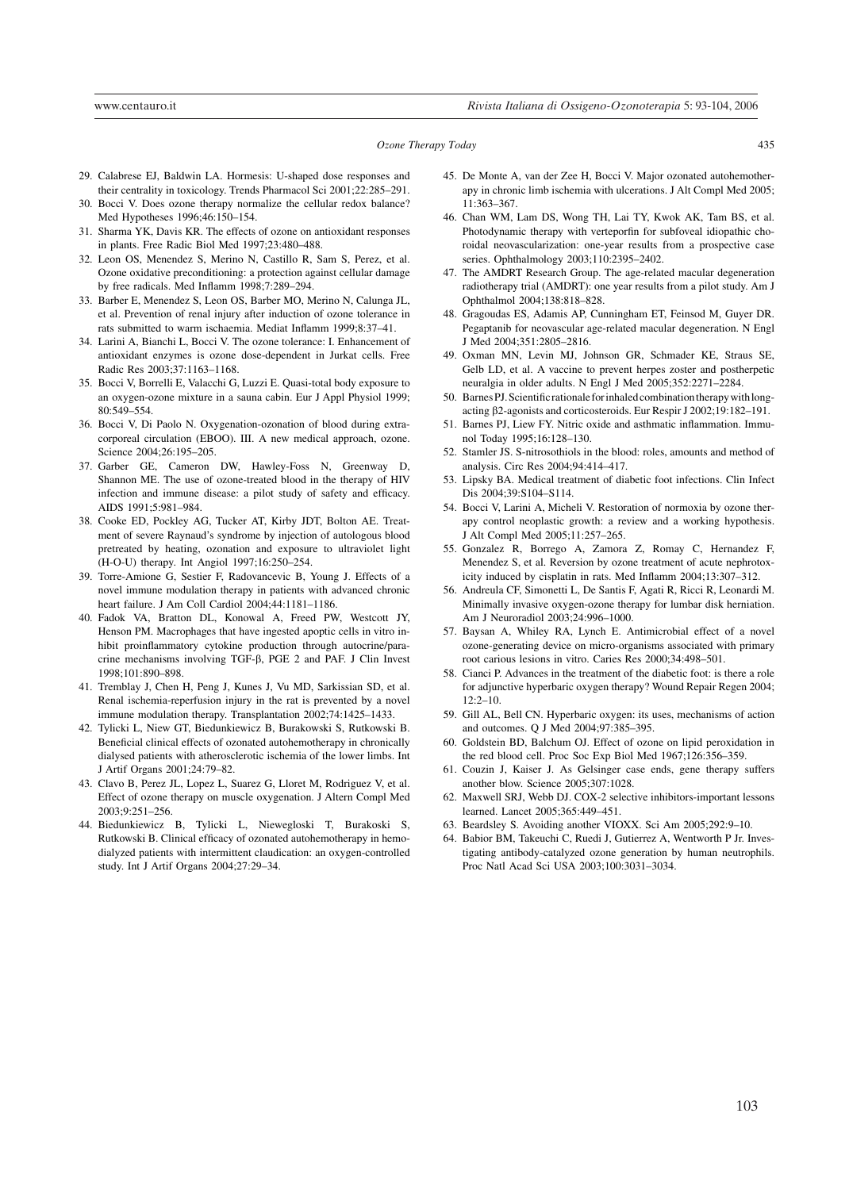- 29. Calabrese EJ, Baldwin LA. Hormesis: U-shaped dose responses and their centrality in toxicology. Trends Pharmacol Sci 2001;22:285–291.
- 30. Bocci V. Does ozone therapy normalize the cellular redox balance? Med Hypotheses 1996;46:150–154.
- 31. Sharma YK, Davis KR. The effects of ozone on antioxidant responses in plants. Free Radic Biol Med 1997;23:480–488.
- 32. Leon OS, Menendez S, Merino N, Castillo R, Sam S, Perez, et al. Ozone oxidative preconditioning: a protection against cellular damage by free radicals. Med Inflamm 1998;7:289–294.
- 33. Barber E, Menendez S, Leon OS, Barber MO, Merino N, Calunga JL, et al. Prevention of renal injury after induction of ozone tolerance in rats submitted to warm ischaemia. Mediat Inflamm 1999;8:37–41.
- 34. Larini A, Bianchi L, Bocci V. The ozone tolerance: I. Enhancement of antioxidant enzymes is ozone dose-dependent in Jurkat cells. Free Radic Res 2003;37:1163–1168.
- 35. Bocci V, Borrelli E, Valacchi G, Luzzi E. Quasi-total body exposure to an oxygen-ozone mixture in a sauna cabin. Eur J Appl Physiol 1999; 80:549–554.
- 36. Bocci V, Di Paolo N. Oxygenation-ozonation of blood during extracorporeal circulation (EBOO). III. A new medical approach, ozone. Science 2004;26:195–205.
- 37. Garber GE, Cameron DW, Hawley-Foss N, Greenway D, Shannon ME. The use of ozone-treated blood in the therapy of HIV infection and immune disease: a pilot study of safety and efficacy. AIDS 1991;5:981–984.
- 38. Cooke ED, Pockley AG, Tucker AT, Kirby JDT, Bolton AE. Treatment of severe Raynaud's syndrome by injection of autologous blood pretreated by heating, ozonation and exposure to ultraviolet light (H-O-U) therapy. Int Angiol 1997;16:250–254.
- 39. Torre-Amione G, Sestier F, Radovancevic B, Young J. Effects of a novel immune modulation therapy in patients with advanced chronic heart failure. J Am Coll Cardiol 2004;44:1181–1186.
- 40. Fadok VA, Bratton DL, Konowal A, Freed PW, Westcott JY, Henson PM. Macrophages that have ingested apoptic cells in vitro inhibit proinflammatory cytokine production through autocrine/paracrine mechanisms involving TGF-b, PGE 2 and PAF. J Clin Invest 1998;101:890–898.
- 41. Tremblay J, Chen H, Peng J, Kunes J, Vu MD, Sarkissian SD, et al. Renal ischemia-reperfusion injury in the rat is prevented by a novel immune modulation therapy. Transplantation 2002;74:1425–1433.
- 42. Tylicki L, Niew GT, Biedunkiewicz B, Burakowski S, Rutkowski B. Beneficial clinical effects of ozonated autohemotherapy in chronically dialysed patients with atherosclerotic ischemia of the lower limbs. Int J Artif Organs 2001;24:79–82.
- 43. Clavo B, Perez JL, Lopez L, Suarez G, Lloret M, Rodriguez V, et al. Effect of ozone therapy on muscle oxygenation. J Altern Compl Med 2003;9:251–256.
- 44. Biedunkiewicz B, Tylicki L, Niewegloski T, Burakoski S, Rutkowski B. Clinical efficacy of ozonated autohemotherapy in hemodialyzed patients with intermittent claudication: an oxygen-controlled study. Int J Artif Organs 2004;27:29–34.
- 45. De Monte A, van der Zee H, Bocci V. Major ozonated autohemotherapy in chronic limb ischemia with ulcerations. J Alt Compl Med 2005; 11:363–367.
- 46. Chan WM, Lam DS, Wong TH, Lai TY, Kwok AK, Tam BS, et al. Photodynamic therapy with verteporfin for subfoveal idiopathic choroidal neovascularization: one-year results from a prospective case series. Ophthalmology 2003;110:2395–2402.
- 47. The AMDRT Research Group. The age-related macular degeneration radiotherapy trial (AMDRT): one year results from a pilot study. Am J Ophthalmol 2004;138:818–828.
- 48. Gragoudas ES, Adamis AP, Cunningham ET, Feinsod M, Guyer DR. Pegaptanib for neovascular age-related macular degeneration. N Engl J Med 2004;351:2805–2816.
- 49. Oxman MN, Levin MJ, Johnson GR, Schmader KE, Straus SE, Gelb LD, et al. A vaccine to prevent herpes zoster and postherpetic neuralgia in older adults. N Engl J Med 2005;352:2271–2284.
- 50. BarnesPJ.Scientific rationale forinhaledcombinationtherapywithlongacting b2-agonists and corticosteroids. Eur Respir J 2002;19:182–191.
- 51. Barnes PJ, Liew FY. Nitric oxide and asthmatic inflammation. Immunol Today 1995;16:128–130.
- 52. Stamler JS. S-nitrosothiols in the blood: roles, amounts and method of analysis. Circ Res 2004;94:414–417.
- 53. Lipsky BA. Medical treatment of diabetic foot infections. Clin Infect Dis 2004;39:S104–S114.
- 54. Bocci V, Larini A, Micheli V. Restoration of normoxia by ozone therapy control neoplastic growth: a review and a working hypothesis. J Alt Compl Med 2005;11:257–265.
- 55. Gonzalez R, Borrego A, Zamora Z, Romay C, Hernandez F, Menendez S, et al. Reversion by ozone treatment of acute nephrotoxicity induced by cisplatin in rats. Med Inflamm 2004;13:307–312.
- 56. Andreula CF, Simonetti L, De Santis F, Agati R, Ricci R, Leonardi M. Minimally invasive oxygen-ozone therapy for lumbar disk herniation. Am J Neuroradiol 2003;24:996–1000.
- 57. Baysan A, Whiley RA, Lynch E. Antimicrobial effect of a novel ozone-generating device on micro-organisms associated with primary root carious lesions in vitro. Caries Res 2000;34:498–501.
- 58. Cianci P. Advances in the treatment of the diabetic foot: is there a role for adjunctive hyperbaric oxygen therapy? Wound Repair Regen 2004; 12:2–10.
- 59. Gill AL, Bell CN. Hyperbaric oxygen: its uses, mechanisms of action and outcomes. Q J Med 2004;97:385–395.
- 60. Goldstein BD, Balchum OJ. Effect of ozone on lipid peroxidation in the red blood cell. Proc Soc Exp Biol Med 1967;126:356–359.
- 61. Couzin J, Kaiser J. As Gelsinger case ends, gene therapy suffers another blow. Science 2005;307:1028.
- 62. Maxwell SRJ, Webb DJ. COX-2 selective inhibitors-important lessons learned. Lancet 2005;365:449–451.
- 63. Beardsley S. Avoiding another VIOXX. Sci Am 2005;292:9–10.
- 64. Babior BM, Takeuchi C, Ruedi J, Gutierrez A, Wentworth P Jr. Investigating antibody-catalyzed ozone generation by human neutrophils. Proc Natl Acad Sci USA 2003;100:3031–3034.